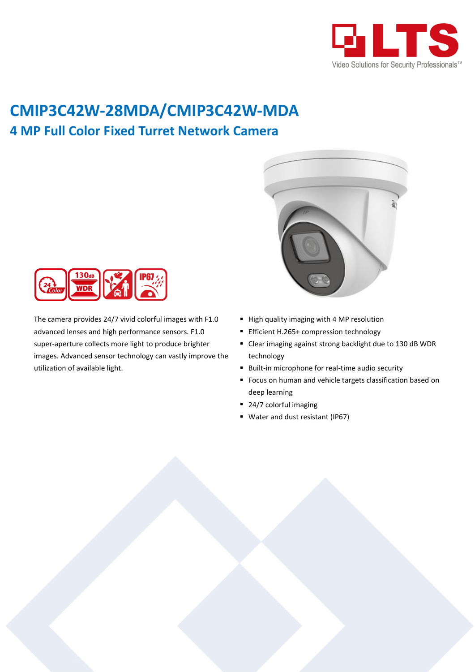

## **CMIP3C42W-28MDA/CMIP3C42W-MDA 4 MP Full Color Fixed Turret Network Camera**



The camera provides 24/7 vivid colorful images with F1.0 advanced lenses and high performance sensors. F1.0 super-aperture collects more light to produce brighter images. Advanced sensor technology can vastly improve the utilization of available light.



- High quality imaging with 4 MP resolution
- **Efficient H.265+ compression technology**
- Clear imaging against strong backlight due to 130 dB WDR technology
- **Built-in microphone for real-time audio security**
- **F** Focus on human and vehicle targets classification based on deep learning
- 24/7 colorful imaging
- Water and dust resistant (IP67)

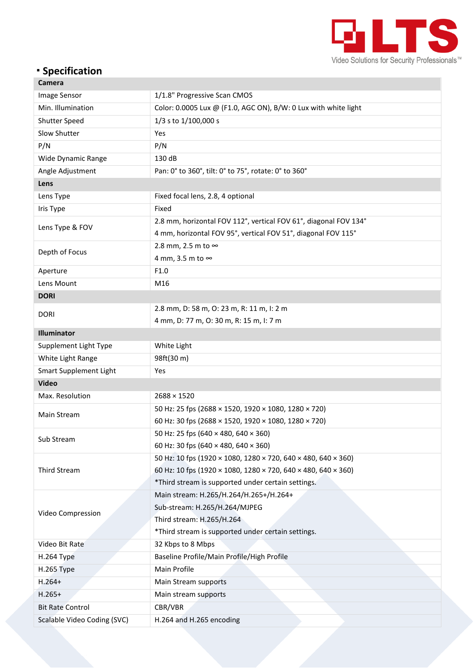

## **Specification**

| Camera                      |                                                                  |  |  |  |  |  |
|-----------------------------|------------------------------------------------------------------|--|--|--|--|--|
| Image Sensor                | 1/1.8" Progressive Scan CMOS                                     |  |  |  |  |  |
| Min. Illumination           | Color: 0.0005 Lux @ (F1.0, AGC ON), B/W: 0 Lux with white light  |  |  |  |  |  |
| Shutter Speed               | 1/3 s to 1/100,000 s                                             |  |  |  |  |  |
| Slow Shutter                | Yes                                                              |  |  |  |  |  |
| P/N                         | P/N                                                              |  |  |  |  |  |
| Wide Dynamic Range          | 130 dB                                                           |  |  |  |  |  |
| Angle Adjustment            | Pan: 0° to 360°, tilt: 0° to 75°, rotate: 0° to 360°             |  |  |  |  |  |
| Lens                        |                                                                  |  |  |  |  |  |
| Lens Type                   | Fixed focal lens, 2.8, 4 optional                                |  |  |  |  |  |
| Iris Type                   | Fixed                                                            |  |  |  |  |  |
|                             | 2.8 mm, horizontal FOV 112°, vertical FOV 61°, diagonal FOV 134° |  |  |  |  |  |
| Lens Type & FOV             | 4 mm, horizontal FOV 95°, vertical FOV 51°, diagonal FOV 115°    |  |  |  |  |  |
| Depth of Focus              | 2.8 mm, 2.5 m to ∞                                               |  |  |  |  |  |
|                             | 4 mm, 3.5 m to ∞                                                 |  |  |  |  |  |
| Aperture                    | F1.0                                                             |  |  |  |  |  |
| Lens Mount                  | M16                                                              |  |  |  |  |  |
| <b>DORI</b>                 |                                                                  |  |  |  |  |  |
|                             | 2.8 mm, D: 58 m, O: 23 m, R: 11 m, I: 2 m                        |  |  |  |  |  |
| <b>DORI</b>                 | 4 mm, D: 77 m, O: 30 m, R: 15 m, I: 7 m                          |  |  |  |  |  |
| Illuminator                 |                                                                  |  |  |  |  |  |
| Supplement Light Type       | White Light                                                      |  |  |  |  |  |
| White Light Range           | 98ft(30 m)                                                       |  |  |  |  |  |
| Smart Supplement Light      | Yes                                                              |  |  |  |  |  |
| <b>Video</b>                |                                                                  |  |  |  |  |  |
| Max. Resolution             | $2688 \times 1520$                                               |  |  |  |  |  |
|                             | 50 Hz: 25 fps (2688 × 1520, 1920 × 1080, 1280 × 720)             |  |  |  |  |  |
| Main Stream                 | 60 Hz: 30 fps (2688 × 1520, 1920 × 1080, 1280 × 720)             |  |  |  |  |  |
|                             | 50 Hz: 25 fps (640 × 480, 640 × 360)                             |  |  |  |  |  |
| Sub Stream                  | 60 Hz: 30 fps (640 × 480, 640 × 360)                             |  |  |  |  |  |
|                             | 50 Hz: 10 fps (1920 × 1080, 1280 × 720, 640 × 480, 640 × 360)    |  |  |  |  |  |
| Third Stream                | 60 Hz: 10 fps (1920 × 1080, 1280 × 720, 640 × 480, 640 × 360)    |  |  |  |  |  |
|                             | *Third stream is supported under certain settings.               |  |  |  |  |  |
|                             | Main stream: H.265/H.264/H.265+/H.264+                           |  |  |  |  |  |
|                             | Sub-stream: H.265/H.264/MJPEG                                    |  |  |  |  |  |
| Video Compression           | Third stream: H.265/H.264                                        |  |  |  |  |  |
|                             | *Third stream is supported under certain settings.               |  |  |  |  |  |
| Video Bit Rate              | 32 Kbps to 8 Mbps                                                |  |  |  |  |  |
| <b>H.264 Type</b>           | Baseline Profile/Main Profile/High Profile                       |  |  |  |  |  |
| H.265 Type                  | Main Profile                                                     |  |  |  |  |  |
| $H.264+$                    | Main Stream supports                                             |  |  |  |  |  |
| $H.265+$                    | Main stream supports                                             |  |  |  |  |  |
| <b>Bit Rate Control</b>     | CBR/VBR                                                          |  |  |  |  |  |
| Scalable Video Coding (SVC) | H.264 and H.265 encoding                                         |  |  |  |  |  |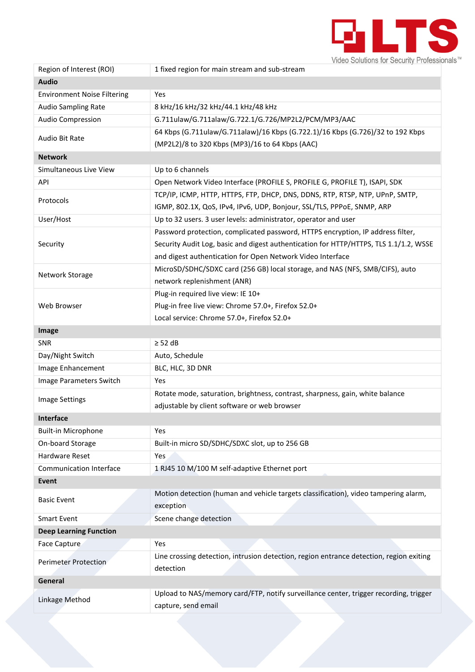

| Region of Interest (ROI)           | 1 fixed region for main stream and sub-stream                                                        |  |  |  |  |  |
|------------------------------------|------------------------------------------------------------------------------------------------------|--|--|--|--|--|
| <b>Audio</b>                       |                                                                                                      |  |  |  |  |  |
| <b>Environment Noise Filtering</b> | Yes                                                                                                  |  |  |  |  |  |
| <b>Audio Sampling Rate</b>         | 8 kHz/16 kHz/32 kHz/44.1 kHz/48 kHz                                                                  |  |  |  |  |  |
| Audio Compression                  | G.711ulaw/G.711alaw/G.722.1/G.726/MP2L2/PCM/MP3/AAC                                                  |  |  |  |  |  |
|                                    | 64 Kbps (G.711ulaw/G.711alaw)/16 Kbps (G.722.1)/16 Kbps (G.726)/32 to 192 Kbps                       |  |  |  |  |  |
| Audio Bit Rate                     | (MP2L2)/8 to 320 Kbps (MP3)/16 to 64 Kbps (AAC)                                                      |  |  |  |  |  |
| <b>Network</b>                     |                                                                                                      |  |  |  |  |  |
| Simultaneous Live View             | Up to 6 channels                                                                                     |  |  |  |  |  |
| API                                | Open Network Video Interface (PROFILE S, PROFILE G, PROFILE T), ISAPI, SDK                           |  |  |  |  |  |
|                                    | TCP/IP, ICMP, HTTP, HTTPS, FTP, DHCP, DNS, DDNS, RTP, RTSP, NTP, UPnP, SMTP,                         |  |  |  |  |  |
| Protocols                          | IGMP, 802.1X, QoS, IPv4, IPv6, UDP, Bonjour, SSL/TLS, PPPoE, SNMP, ARP                               |  |  |  |  |  |
| User/Host                          | Up to 32 users. 3 user levels: administrator, operator and user                                      |  |  |  |  |  |
| Security                           | Password protection, complicated password, HTTPS encryption, IP address filter,                      |  |  |  |  |  |
|                                    | Security Audit Log, basic and digest authentication for HTTP/HTTPS, TLS 1.1/1.2, WSSE                |  |  |  |  |  |
|                                    | and digest authentication for Open Network Video Interface                                           |  |  |  |  |  |
|                                    | MicroSD/SDHC/SDXC card (256 GB) local storage, and NAS (NFS, SMB/CIFS), auto                         |  |  |  |  |  |
| Network Storage                    | network replenishment (ANR)                                                                          |  |  |  |  |  |
|                                    | Plug-in required live view: IE 10+                                                                   |  |  |  |  |  |
| Web Browser                        | Plug-in free live view: Chrome 57.0+, Firefox 52.0+                                                  |  |  |  |  |  |
|                                    | Local service: Chrome 57.0+, Firefox 52.0+                                                           |  |  |  |  |  |
| Image                              |                                                                                                      |  |  |  |  |  |
| SNR                                | $\geq$ 52 dB                                                                                         |  |  |  |  |  |
| Day/Night Switch                   | Auto, Schedule                                                                                       |  |  |  |  |  |
|                                    |                                                                                                      |  |  |  |  |  |
| Image Enhancement                  | BLC, HLC, 3D DNR                                                                                     |  |  |  |  |  |
| Image Parameters Switch            | Yes                                                                                                  |  |  |  |  |  |
|                                    | Rotate mode, saturation, brightness, contrast, sharpness, gain, white balance                        |  |  |  |  |  |
| <b>Image Settings</b>              | adjustable by client software or web browser                                                         |  |  |  |  |  |
| <b>Interface</b>                   |                                                                                                      |  |  |  |  |  |
| <b>Built-in Microphone</b>         | Yes                                                                                                  |  |  |  |  |  |
| On-board Storage                   | Built-in micro SD/SDHC/SDXC slot, up to 256 GB                                                       |  |  |  |  |  |
| Hardware Reset                     | Yes                                                                                                  |  |  |  |  |  |
| <b>Communication Interface</b>     | 1 RJ45 10 M/100 M self-adaptive Ethernet port                                                        |  |  |  |  |  |
| Event                              |                                                                                                      |  |  |  |  |  |
|                                    | Motion detection (human and vehicle targets classification), video tampering alarm,                  |  |  |  |  |  |
| <b>Basic Event</b>                 | exception                                                                                            |  |  |  |  |  |
| <b>Smart Event</b>                 | Scene change detection                                                                               |  |  |  |  |  |
| <b>Deep Learning Function</b>      |                                                                                                      |  |  |  |  |  |
| <b>Face Capture</b>                | Yes                                                                                                  |  |  |  |  |  |
| <b>Perimeter Protection</b>        | Line crossing detection, intrusion detection, region entrance detection, region exiting<br>detection |  |  |  |  |  |
| General                            |                                                                                                      |  |  |  |  |  |
| Linkage Method                     | Upload to NAS/memory card/FTP, notify surveillance center, trigger recording, trigger                |  |  |  |  |  |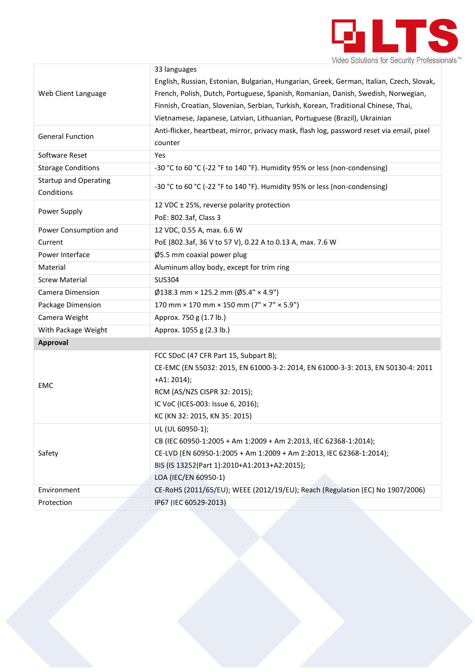

|                              | 33 languages                                                                              |  |  |
|------------------------------|-------------------------------------------------------------------------------------------|--|--|
|                              | English, Russian, Estonian, Bulgarian, Hungarian, Greek, German, Italian, Czech, Slovak,  |  |  |
| Web Client Language          | French, Polish, Dutch, Portuguese, Spanish, Romanian, Danish, Swedish, Norwegian,         |  |  |
|                              | Finnish, Croatian, Slovenian, Serbian, Turkish, Korean, Traditional Chinese, Thai,        |  |  |
|                              | Vietnamese, Japanese, Latvian, Lithuanian, Portuguese (Brazil), Ukrainian                 |  |  |
| <b>General Function</b>      | Anti-flicker, heartbeat, mirror, privacy mask, flash log, password reset via email, pixel |  |  |
|                              | counter                                                                                   |  |  |
| Software Reset               | Yes                                                                                       |  |  |
| <b>Storage Conditions</b>    | -30 °C to 60 °C (-22 °F to 140 °F). Humidity 95% or less (non-condensing)                 |  |  |
| <b>Startup and Operating</b> | -30 °C to 60 °C (-22 °F to 140 °F). Humidity 95% or less (non-condensing)                 |  |  |
| Conditions                   |                                                                                           |  |  |
| Power Supply                 | 12 VDC ± 25%, reverse polarity protection                                                 |  |  |
|                              | PoE: 802.3af, Class 3                                                                     |  |  |
| Power Consumption and        | 12 VDC, 0.55 A, max. 6.6 W                                                                |  |  |
| Current                      | PoE (802.3af, 36 V to 57 V), 0.22 A to 0.13 A, max. 7.6 W                                 |  |  |
| Power Interface              | Ø5.5 mm coaxial power plug                                                                |  |  |
| Material                     | Aluminum alloy body, except for trim ring                                                 |  |  |
| <b>Screw Material</b>        | <b>SUS304</b>                                                                             |  |  |
| Camera Dimension             | $\emptyset$ 138.3 mm × 125.2 mm ( $\emptyset$ 5.4" × 4.9")                                |  |  |
| Package Dimension            | 170 mm $\times$ 170 mm $\times$ 150 mm (7" $\times$ 7" $\times$ 5.9")                     |  |  |
| Camera Weight                | Approx. 750 g (1.7 lb.)                                                                   |  |  |
| With Package Weight          | Approx. 1055 g (2.3 lb.)                                                                  |  |  |
| <b>Approval</b>              |                                                                                           |  |  |
|                              | FCC SDoC (47 CFR Part 15, Subpart B);                                                     |  |  |
|                              | CE-EMC (EN 55032: 2015, EN 61000-3-2: 2014, EN 61000-3-3: 2013, EN 50130-4: 2011          |  |  |
| <b>EMC</b>                   | $+A1:2014);$                                                                              |  |  |
|                              | RCM (AS/NZS CISPR 32: 2015);                                                              |  |  |
|                              | IC VoC (ICES-003: Issue 6, 2016);                                                         |  |  |
|                              | KC (KN 32: 2015, KN 35: 2015)                                                             |  |  |
|                              | UL (UL 60950-1);                                                                          |  |  |
|                              | CB (IEC 60950-1:2005 + Am 1:2009 + Am 2:2013, IEC 62368-1:2014);                          |  |  |
| Safety                       | CE-LVD (EN 60950-1:2005 + Am 1:2009 + Am 2:2013, IEC 62368-1:2014);                       |  |  |
|                              | BIS (IS 13252(Part 1):2010+A1:2013+A2:2015);                                              |  |  |
|                              | LOA (IEC/EN 60950-1)                                                                      |  |  |
| Environment                  | CE-RoHS (2011/65/EU); WEEE (2012/19/EU); Reach (Regulation (EC) No 1907/2006)             |  |  |
| Protection                   | IP67 (IEC 60529-2013)                                                                     |  |  |